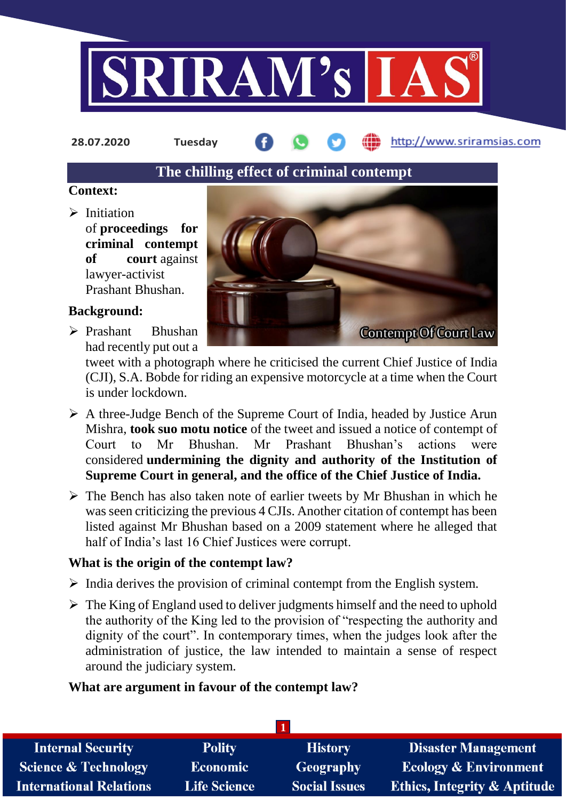

**28.07.2020 Tuesday**

http://www.sriramsias.com

# **The chilling effect of criminal contempt**

# **Context:**

 $\triangleright$  Initiation of **proceedings for criminal contempt of court** against lawyer-activist Prashant Bhushan.

# **Background:**

 Prashant Bhushan had recently put out a



tweet with a photograph where he criticised the current Chief Justice of India (CJI), S.A. Bobde for riding an expensive motorcycle at a time when the Court is under lockdown.

- $\triangleright$  A three-Judge Bench of the Supreme Court of India, headed by Justice Arun Mishra, **took suo motu notice** of the tweet and issued a notice of contempt of Court to Mr Bhushan. Mr Prashant Bhushan's actions were considered **undermining the dignity and authority of the Institution of Supreme Court in general, and the office of the Chief Justice of India.**
- $\triangleright$  The Bench has also taken note of earlier tweets by Mr Bhushan in which he was seen criticizing the previous 4 CJIs. Another citation of contempt has been listed against Mr Bhushan based on a 2009 statement where he alleged that half of India's last 16 Chief Justices were corrupt.

# **What is the origin of the contempt law?**

- $\triangleright$  India derives the provision of criminal contempt from the English system.
- $\triangleright$  The King of England used to deliver judgments himself and the need to uphold the authority of the King led to the provision of "respecting the authority and dignity of the court". In contemporary times, when the judges look after the administration of justice, the law intended to maintain a sense of respect around the judiciary system.

# **What are argument in favour of the contempt law?**

| <b>Internal Security</b>        | <b>Polity</b>       | <b>History</b>       | <b>Disaster Management</b>              |  |  |
|---------------------------------|---------------------|----------------------|-----------------------------------------|--|--|
| <b>Science &amp; Technology</b> | Economic            | <b>Geography</b>     | <b>Ecology &amp; Environment</b>        |  |  |
| <b>International Relations</b>  | <b>Life Science</b> | <b>Social Issues</b> | <b>Ethics, Integrity &amp; Aptitude</b> |  |  |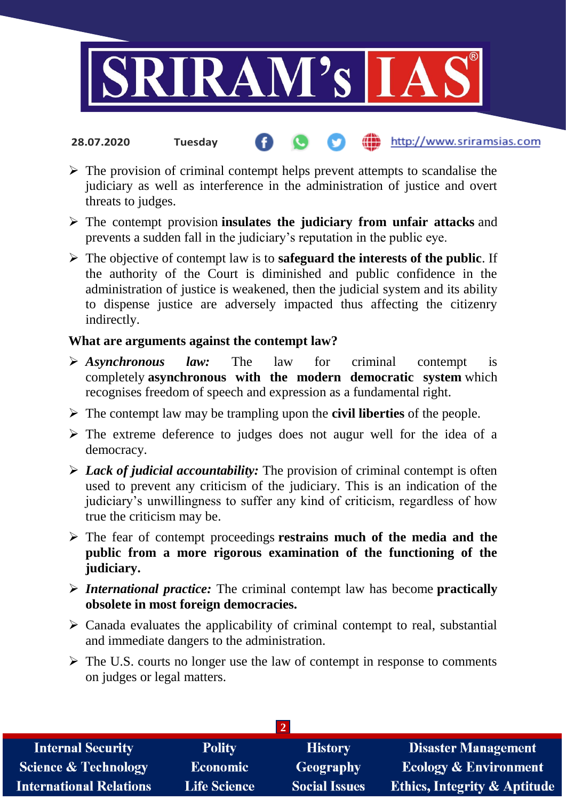

- http://www.sriramsias.com **28.07.2020 Tuesday**
- $\triangleright$  The provision of criminal contempt helps prevent attempts to scandalise the judiciary as well as interference in the administration of justice and overt threats to judges.
- The contempt provision **insulates the judiciary from unfair attacks** and prevents a sudden fall in the judiciary's reputation in the public eye.
- The objective of contempt law is to **safeguard the interests of the public**. If the authority of the Court is diminished and public confidence in the administration of justice is weakened, then the judicial system and its ability to dispense justice are adversely impacted thus affecting the citizenry indirectly.

# **What are arguments against the contempt law?**

- *Asynchronous law:* The law for criminal contempt is completely **asynchronous with the modern democratic system** which recognises freedom of speech and expression as a fundamental right.
- The contempt law may be trampling upon the **civil liberties** of the people.
- $\triangleright$  The extreme deference to judges does not augur well for the idea of a democracy.
- *Lack of judicial accountability:* The provision of criminal contempt is often used to prevent any criticism of the judiciary. This is an indication of the judiciary's unwillingness to suffer any kind of criticism, regardless of how true the criticism may be.
- The fear of contempt proceedings **restrains much of the media and the public from a more rigorous examination of the functioning of the judiciary.**
- *International practice:* The criminal contempt law has become **practically obsolete in most foreign democracies.**
- $\triangleright$  Canada evaluates the applicability of criminal contempt to real, substantial and immediate dangers to the administration.
- $\triangleright$  The U.S. courts no longer use the law of contempt in response to comments on judges or legal matters.

| <b>Internal Security</b>        | <b>Polity</b>       | <b>History</b>       | <b>Disaster Management</b>              |  |  |
|---------------------------------|---------------------|----------------------|-----------------------------------------|--|--|
| <b>Science &amp; Technology</b> | Economic            | Geography            | <b>Ecology &amp; Environment</b>        |  |  |
| <b>International Relations</b>  | <b>Life Science</b> | <b>Social Issues</b> | <b>Ethics, Integrity &amp; Aptitude</b> |  |  |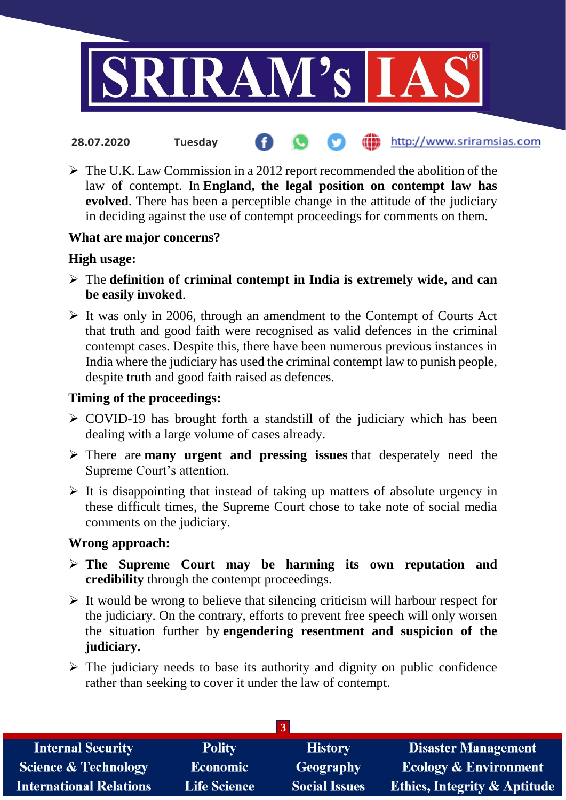

- the http://www.sriramsias.com **28.07.2020 Tuesday**
- $\triangleright$  The U.K. Law Commission in a 2012 report recommended the abolition of the law of contempt. In **England, the legal position on contempt law has evolved**. There has been a perceptible change in the attitude of the judiciary in deciding against the use of contempt proceedings for comments on them.

# **What are major concerns?**

#### **High usage:**

- The **definition of criminal contempt in India is extremely wide, and can be easily invoked**.
- $\triangleright$  It was only in 2006, through an amendment to the Contempt of Courts Act that truth and good faith were recognised as valid defences in the criminal contempt cases. Despite this, there have been numerous previous instances in India where the judiciary has used the criminal contempt law to punish people, despite truth and good faith raised as defences.

### **Timing of the proceedings:**

- $\triangleright$  COVID-19 has brought forth a standstill of the judiciary which has been dealing with a large volume of cases already.
- There are **many urgent and pressing issues** that desperately need the Supreme Court's attention.
- $\triangleright$  It is disappointing that instead of taking up matters of absolute urgency in these difficult times, the Supreme Court chose to take note of social media comments on the judiciary.

#### **Wrong approach:**

- **The Supreme Court may be harming its own reputation and credibility** through the contempt proceedings.
- $\triangleright$  It would be wrong to believe that silencing criticism will harbour respect for the judiciary. On the contrary, efforts to prevent free speech will only worsen the situation further by **engendering resentment and suspicion of the judiciary.**
- $\triangleright$  The judiciary needs to base its authority and dignity on public confidence rather than seeking to cover it under the law of contempt.

| <b>Internal Security</b>        | <b>Polity</b>       | <b>History</b>       | <b>Disaster Management</b>              |  |  |  |
|---------------------------------|---------------------|----------------------|-----------------------------------------|--|--|--|
| <b>Science &amp; Technology</b> | <b>Economic</b>     | Geography            | <b>Ecology &amp; Environment</b>        |  |  |  |
| <b>International Relations</b>  | <b>Life Science</b> | <b>Social Issues</b> | <b>Ethics, Integrity &amp; Aptitude</b> |  |  |  |